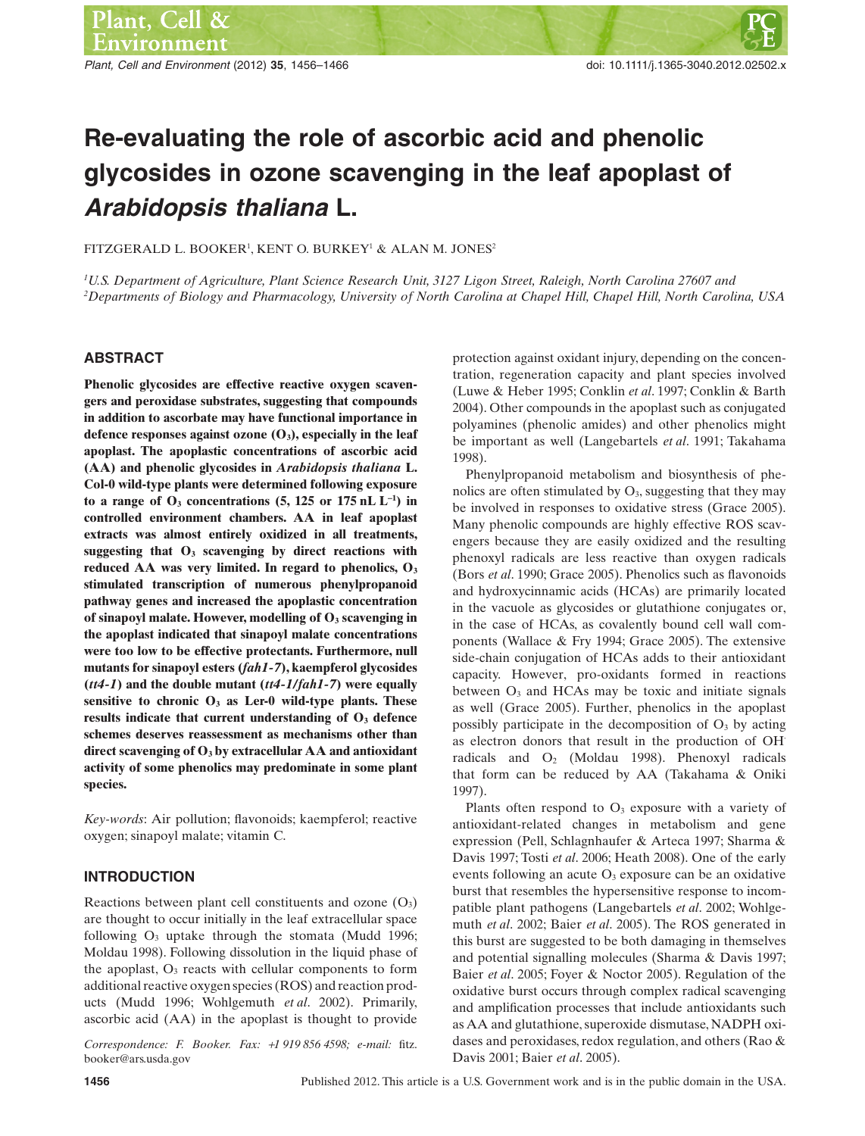*Plant, Cell and Environment* (2012) **35**, 1456–1466 doi: 10.1111/j.1365-3040.2012.02502.x

# **Re-evaluating the role of ascorbic acid and phenolic glycosides in ozone scavenging in the leaf apoplast of Arabidopsis thaliana L.**

FITZGERALD L. BOOKER<sup>1</sup>, KENT O. BURKEY<sup>1</sup> & ALAN M. JONES<sup>2</sup>

*1 U.S. Department of Agriculture, Plant Science Research Unit, 3127 Ligon Street, Raleigh, North Carolina 27607 and 2 Departments of Biology and Pharmacology, University of North Carolina at Chapel Hill, Chapel Hill, North Carolina, USA*

# **ABSTRACT**

**Phenolic glycosides are effective reactive oxygen scavengers and peroxidase substrates, suggesting that compounds in addition to ascorbate may have functional importance in defence responses against ozone (O3), especially in the leaf apoplast. The apoplastic concentrations of ascorbic acid (AA) and phenolic glycosides in** *Arabidopsis thaliana* **L. Col-0 wild-type plants were determined following exposure** to a range of  $O_3$  concentrations  $(5, 125 \text{ or } 175 \text{ nL L}^{-1})$  in **controlled environment chambers. AA in leaf apoplast extracts was almost entirely oxidized in all treatments, suggesting that O3 scavenging by direct reactions with reduced AA was very limited. In regard to phenolics, O3 stimulated transcription of numerous phenylpropanoid pathway genes and increased the apoplastic concentration of sinapoyl malate. However, modelling of O3 scavenging in the apoplast indicated that sinapoyl malate concentrations were too low to be effective protectants. Furthermore, null mutants for sinapoyl esters (***fah1-7***), kaempferol glycosides (***tt4-1***) and the double mutant (***tt4-1/fah1-7***) were equally sensitive to chronic O3 as Ler-0 wild-type plants. These** results indicate that current understanding of  $O<sub>3</sub>$  defence **schemes deserves reassessment as mechanisms other than direct scavenging of O3 by extracellular AA and antioxidant activity of some phenolics may predominate in some plant species.**

*Key-words*: Air pollution; flavonoids; kaempferol; reactive oxygen; sinapoyl malate; vitamin C.

# **INTRODUCTION**

Reactions between plant cell constituents and ozone  $(O<sub>3</sub>)$ are thought to occur initially in the leaf extracellular space following  $O_3$  uptake through the stomata (Mudd 1996; Moldau 1998). Following dissolution in the liquid phase of the apoplast,  $O_3$  reacts with cellular components to form additional reactive oxygen species (ROS) and reaction products (Mudd 1996; Wohlgemuth *et al*. 2002). Primarily, ascorbic acid (AA) in the apoplast is thought to provide

*Correspondence: F. Booker. Fax:* +*1 919 856 4598; e-mail:* fitz. booker@ars.usda.gov

protection against oxidant injury, depending on the concentration, regeneration capacity and plant species involved (Luwe & Heber 1995; Conklin *et al*. 1997; Conklin & Barth 2004). Other compounds in the apoplast such as conjugated polyamines (phenolic amides) and other phenolics might be important as well (Langebartels *et al*. 1991; Takahama 1998).

Phenylpropanoid metabolism and biosynthesis of phenolics are often stimulated by  $O_3$ , suggesting that they may be involved in responses to oxidative stress (Grace 2005). Many phenolic compounds are highly effective ROS scavengers because they are easily oxidized and the resulting phenoxyl radicals are less reactive than oxygen radicals (Bors *et al*. 1990; Grace 2005). Phenolics such as flavonoids and hydroxycinnamic acids (HCAs) are primarily located in the vacuole as glycosides or glutathione conjugates or, in the case of HCAs, as covalently bound cell wall components (Wallace & Fry 1994; Grace 2005). The extensive side-chain conjugation of HCAs adds to their antioxidant capacity. However, pro-oxidants formed in reactions between  $O_3$  and HCAs may be toxic and initiate signals as well (Grace 2005). Further, phenolics in the apoplast possibly participate in the decomposition of  $O<sub>3</sub>$  by acting as electron donors that result in the production of OH· radicals and O2 (Moldau 1998). Phenoxyl radicals that form can be reduced by AA (Takahama & Oniki 1997).

Plants often respond to  $O<sub>3</sub>$  exposure with a variety of antioxidant-related changes in metabolism and gene expression (Pell, Schlagnhaufer & Arteca 1997; Sharma & Davis 1997; Tosti *et al*. 2006; Heath 2008). One of the early events following an acute  $O<sub>3</sub>$  exposure can be an oxidative burst that resembles the hypersensitive response to incompatible plant pathogens (Langebartels *et al*. 2002; Wohlgemuth *et al*. 2002; Baier *et al*. 2005). The ROS generated in this burst are suggested to be both damaging in themselves and potential signalling molecules (Sharma & Davis 1997; Baier *et al*. 2005; Foyer & Noctor 2005). Regulation of the oxidative burst occurs through complex radical scavenging and amplification processes that include antioxidants such as AA and glutathione, superoxide dismutase, NADPH oxidases and peroxidases, redox regulation, and others (Rao & Davis 2001; Baier *et al*. 2005).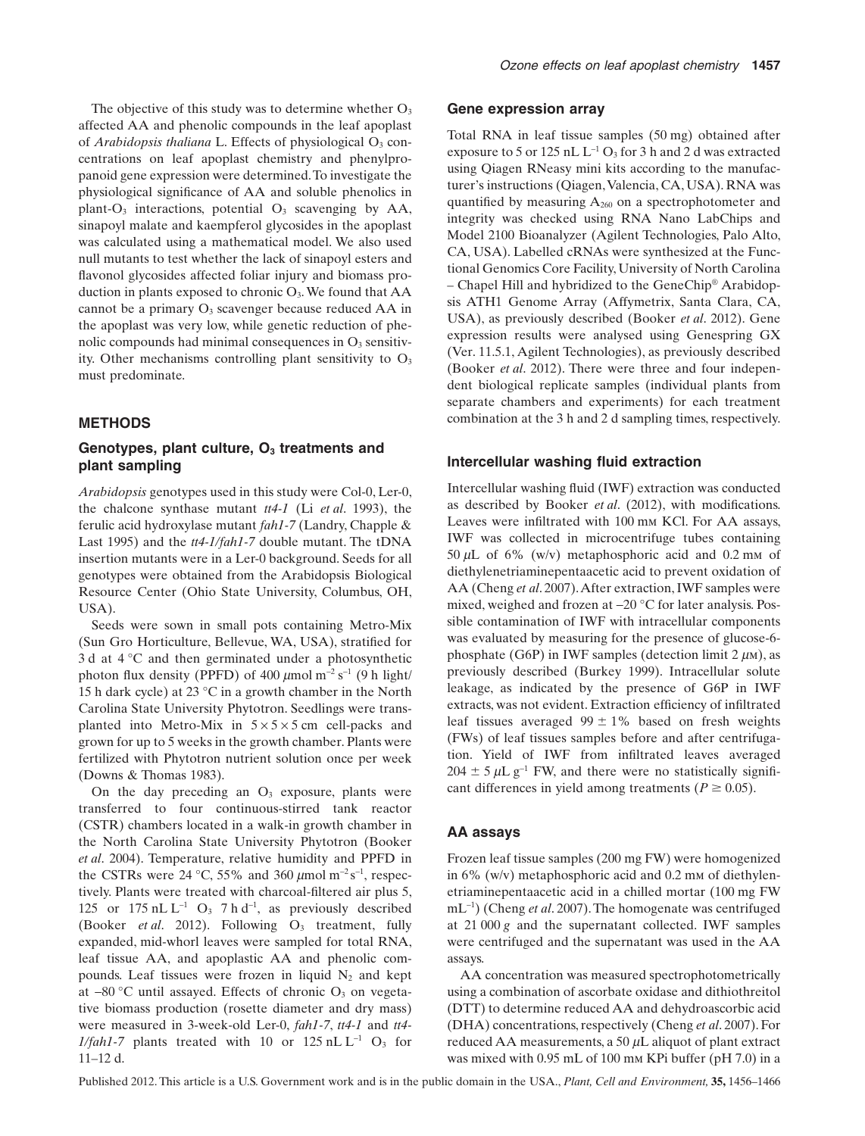The objective of this study was to determine whether  $O_3$ affected AA and phenolic compounds in the leaf apoplast of *Arabidopsis thaliana* L. Effects of physiological O<sub>3</sub> concentrations on leaf apoplast chemistry and phenylpropanoid gene expression were determined.To investigate the physiological significance of AA and soluble phenolics in plant- $O_3$  interactions, potential  $O_3$  scavenging by AA, sinapoyl malate and kaempferol glycosides in the apoplast was calculated using a mathematical model. We also used null mutants to test whether the lack of sinapoyl esters and flavonol glycosides affected foliar injury and biomass production in plants exposed to chronic  $O_3$ . We found that  $AA$ cannot be a primary  $O_3$  scavenger because reduced AA in the apoplast was very low, while genetic reduction of phenolic compounds had minimal consequences in  $O<sub>3</sub>$  sensitivity. Other mechanisms controlling plant sensitivity to  $O_3$ must predominate.

# **METHODS**

# Genotypes, plant culture, O<sub>3</sub> treatments and **plant sampling**

*Arabidopsis* genotypes used in this study were Col-0, Ler-0, the chalcone synthase mutant *tt4-1* (Li *et al*. 1993), the ferulic acid hydroxylase mutant *fah1-7* (Landry, Chapple & Last 1995) and the *tt4-1/fah1-7* double mutant. The tDNA insertion mutants were in a Ler-0 background. Seeds for all genotypes were obtained from the Arabidopsis Biological Resource Center (Ohio State University, Columbus, OH, USA).

Seeds were sown in small pots containing Metro-Mix (Sun Gro Horticulture, Bellevue, WA, USA), stratified for 3 d at 4 °C and then germinated under a photosynthetic photon flux density (PPFD) of 400  $\mu$ mol m<sup>-2</sup> s<sup>-1</sup> (9 h light/ 15 h dark cycle) at 23 °C in a growth chamber in the North Carolina State University Phytotron. Seedlings were transplanted into Metro-Mix in  $5 \times 5 \times 5$  cm cell-packs and grown for up to 5 weeks in the growth chamber. Plants were fertilized with Phytotron nutrient solution once per week (Downs & Thomas 1983).

On the day preceding an  $O<sub>3</sub>$  exposure, plants were transferred to four continuous-stirred tank reactor (CSTR) chambers located in a walk-in growth chamber in the North Carolina State University Phytotron (Booker *et al*. 2004). Temperature, relative humidity and PPFD in the CSTRs were 24 °C, 55% and 360  $\mu$ mol m<sup>-2</sup> s<sup>-1</sup>, respectively. Plants were treated with charcoal-filtered air plus 5, 125 or  $175 \text{ nL L}^{-1}$  O<sub>3</sub> 7 h d<sup>-1</sup>, as previously described (Booker *et al.* 2012). Following O<sub>3</sub> treatment, fully expanded, mid-whorl leaves were sampled for total RNA, leaf tissue AA, and apoplastic AA and phenolic compounds. Leaf tissues were frozen in liquid  $N_2$  and kept at  $-80$  °C until assayed. Effects of chronic  $O_3$  on vegetative biomass production (rosette diameter and dry mass) were measured in 3-week-old Ler-0, *fah1-7*, *tt4-1* and *tt4- 1/fah1-7* plants treated with 10 or  $125$  nL  $L^{-1}$  O<sub>3</sub> for 11–12 d.

### **Gene expression array**

Total RNA in leaf tissue samples (50 mg) obtained after exposure to 5 or 125 nL  $L^{-1}$  O<sub>3</sub> for 3 h and 2 d was extracted using Qiagen RNeasy mini kits according to the manufacturer's instructions (Qiagen,Valencia, CA, USA). RNA was quantified by measuring  $A_{260}$  on a spectrophotometer and integrity was checked using RNA Nano LabChips and Model 2100 Bioanalyzer (Agilent Technologies, Palo Alto, CA, USA). Labelled cRNAs were synthesized at the Functional Genomics Core Facility, University of North Carolina – Chapel Hill and hybridized to the GeneChip® Arabidopsis ATH1 Genome Array (Affymetrix, Santa Clara, CA, USA), as previously described (Booker *et al*. 2012). Gene expression results were analysed using Genespring GX (Ver. 11.5.1, Agilent Technologies), as previously described (Booker *et al*. 2012). There were three and four independent biological replicate samples (individual plants from separate chambers and experiments) for each treatment combination at the 3 h and 2 d sampling times, respectively.

### **Intercellular washing fluid extraction**

Intercellular washing fluid (IWF) extraction was conducted as described by Booker *et al*. (2012), with modifications. Leaves were infiltrated with 100 mm KCl. For AA assays, IWF was collected in microcentrifuge tubes containing 50  $\mu$ L of 6% (w/v) metaphosphoric acid and 0.2 mm of diethylenetriaminepentaacetic acid to prevent oxidation of AA (Cheng *et al*. 2007).After extraction, IWF samples were mixed, weighed and frozen at -20 °C for later analysis. Possible contamination of IWF with intracellular components was evaluated by measuring for the presence of glucose-6 phosphate (G6P) in IWF samples (detection limit  $2 \mu$ M), as previously described (Burkey 1999). Intracellular solute leakage, as indicated by the presence of G6P in IWF extracts, was not evident. Extraction efficiency of infiltrated leaf tissues averaged  $99 \pm 1\%$  based on fresh weights (FWs) of leaf tissues samples before and after centrifugation. Yield of IWF from infiltrated leaves averaged  $204 \pm 5 \mu L g^{-1}$  FW, and there were no statistically significant differences in yield among treatments ( $P \ge 0.05$ ).

#### **AA assays**

Frozen leaf tissue samples (200 mg FW) were homogenized in 6% (w/v) metaphosphoric acid and 0.2 mm of diethylenetriaminepentaacetic acid in a chilled mortar (100 mg FW mL-<sup>1</sup> ) (Cheng *et al*. 2007). The homogenate was centrifuged at 21 000 *g* and the supernatant collected. IWF samples were centrifuged and the supernatant was used in the AA assays.

AA concentration was measured spectrophotometrically using a combination of ascorbate oxidase and dithiothreitol (DTT) to determine reduced AA and dehydroascorbic acid (DHA) concentrations, respectively (Cheng *et al*. 2007). For reduced AA measurements, a 50  $\mu$ L aliquot of plant extract was mixed with 0.95 mL of 100 mm KPi buffer (pH 7.0) in a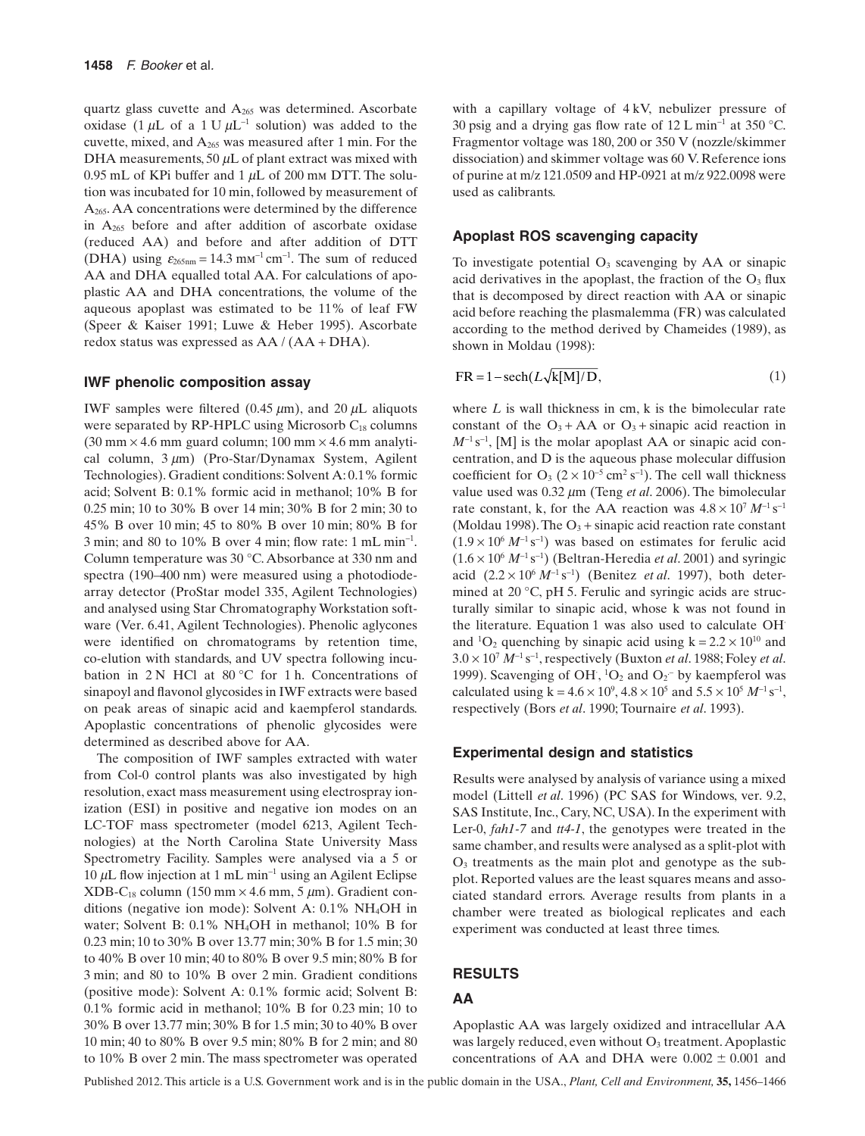quartz glass cuvette and A265 was determined. Ascorbate oxidase (1  $\mu$ L of a 1 U  $\mu$ L<sup>-1</sup> solution) was added to the cuvette, mixed, and A265 was measured after 1 min. For the DHA measurements, 50  $\mu$ L of plant extract was mixed with 0.95 mL of KPi buffer and  $1 \mu$ L of 200 mm DTT. The solution was incubated for 10 min, followed by measurement of A265.AA concentrations were determined by the difference in  $A_{265}$  before and after addition of ascorbate oxidase (reduced AA) and before and after addition of DTT (DHA) using  $\varepsilon_{265nm} = 14.3$  mm<sup>-1</sup> cm<sup>-1</sup>. The sum of reduced AA and DHA equalled total AA. For calculations of apoplastic AA and DHA concentrations, the volume of the aqueous apoplast was estimated to be 11% of leaf FW (Speer & Kaiser 1991; Luwe & Heber 1995). Ascorbate redox status was expressed as AA / (AA + DHA).

## **IWF phenolic composition assay**

IWF samples were filtered (0.45  $\mu$ m), and 20  $\mu$ L aliquots were separated by  $RP\text{-}HPLC$  using Microsorb  $C_{18}$  columns  $(30 \text{ mm} \times 4.6 \text{ mm} \text{ guard column}; 100 \text{ mm} \times 4.6 \text{ mm} \text{ analytic}$ cal column,  $3 \mu m$ ) (Pro-Star/Dynamax System, Agilent Technologies). Gradient conditions: Solvent A: 0.1% formic acid; Solvent B: 0.1% formic acid in methanol; 10% B for 0.25 min; 10 to 30% B over 14 min; 30% B for 2 min; 30 to 45% B over 10 min; 45 to 80% B over 10 min; 80% B for 3 min; and 80 to 10% B over 4 min; flow rate: 1 mL min-<sup>1</sup> . Column temperature was 30 °C.Absorbance at 330 nm and spectra (190–400 nm) were measured using a photodiodearray detector (ProStar model 335, Agilent Technologies) and analysed using Star Chromatography Workstation software (Ver. 6.41, Agilent Technologies). Phenolic aglycones were identified on chromatograms by retention time, co-elution with standards, and UV spectra following incubation in  $2 N$  HCl at  $80 °C$  for 1 h. Concentrations of sinapoyl and flavonol glycosides in IWF extracts were based on peak areas of sinapic acid and kaempferol standards. Apoplastic concentrations of phenolic glycosides were determined as described above for AA.

The composition of IWF samples extracted with water from Col-0 control plants was also investigated by high resolution, exact mass measurement using electrospray ionization (ESI) in positive and negative ion modes on an LC-TOF mass spectrometer (model 6213, Agilent Technologies) at the North Carolina State University Mass Spectrometry Facility. Samples were analysed via a 5 or 10  $\mu$ L flow injection at 1 mL min<sup>-1</sup> using an Agilent Eclipse XDB-C<sub>18</sub> column (150 mm  $\times$  4.6 mm, 5  $\mu$ m). Gradient conditions (negative ion mode): Solvent A: 0.1% NH4OH in water; Solvent B: 0.1% NH4OH in methanol; 10% B for 0.23 min; 10 to 30% B over 13.77 min; 30% B for 1.5 min; 30 to 40% B over 10 min; 40 to 80% B over 9.5 min; 80% B for 3 min; and 80 to 10% B over 2 min. Gradient conditions (positive mode): Solvent A: 0.1% formic acid; Solvent B: 0.1% formic acid in methanol; 10% B for 0.23 min; 10 to 30% B over 13.77 min; 30% B for 1.5 min; 30 to 40% B over 10 min; 40 to 80% B over 9.5 min; 80% B for 2 min; and 80 to 10% B over 2 min. The mass spectrometer was operated with a capillary voltage of 4 kV, nebulizer pressure of 30 psig and a drying gas flow rate of  $12 \text{ L min}^{-1}$  at  $350 \degree \text{C}$ . Fragmentor voltage was 180, 200 or 350 V (nozzle/skimmer dissociation) and skimmer voltage was 60 V. Reference ions of purine at m/z 121.0509 and HP-0921 at m/z 922.0098 were used as calibrants.

## **Apoplast ROS scavenging capacity**

To investigate potential  $O<sub>3</sub>$  scavenging by AA or sinapic acid derivatives in the apoplast, the fraction of the  $O<sub>3</sub>$  flux that is decomposed by direct reaction with AA or sinapic acid before reaching the plasmalemma (FR) was calculated according to the method derived by Chameides (1989), as shown in Moldau (1998):

$$
FR = 1 - sech(L\sqrt{k[M]/D},\tag{1}
$$

where *L* is wall thickness in cm, k is the bimolecular rate constant of the  $O_3 + AA$  or  $O_3 +$  sinapic acid reaction in  $M^{-1}$  s<sup>-1</sup>, [M] is the molar apoplast AA or sinapic acid concentration, and D is the aqueous phase molecular diffusion coefficient for  $O_3$  ( $2 \times 10^{-5}$  cm<sup>2</sup> s<sup>-1</sup>). The cell wall thickness value used was 0.32  $\mu$ m (Teng *et al.* 2006). The bimolecular rate constant, k, for the AA reaction was  $4.8 \times 10^7 M^{-1} s^{-1}$ (Moldau 1998). The  $O_3$  + sinapic acid reaction rate constant  $(1.9 \times 10^{6} M^{-1} s^{-1})$  was based on estimates for ferulic acid  $(1.6 \times 10^6 \, M^{-1} \, s^{-1})$  (Beltran-Heredia *et al.* 2001) and syringic acid  $(2.2 \times 10^6 \, M^{-1} \, s^{-1})$  (Benitez *et al.* 1997), both determined at 20 °C, pH 5. Ferulic and syringic acids are structurally similar to sinapic acid, whose k was not found in the literature. Equation 1 was also used to calculate OH· and <sup>1</sup>O<sub>2</sub> quenching by sinapic acid using  $k = 2.2 \times 10^{10}$  and  $3.0 \times 10^7$   $M^{-1}$  s<sup>-1</sup>, respectively (Buxton *et al.* 1988; Foley *et al.* 1999). Scavenging of OH,  ${}^{1}O_{2}$  and  $O_{2}$ <sup>-</sup> by kaempferol was calculated using  $k = 4.6 \times 10^9$ ,  $4.8 \times 10^5$  and  $5.5 \times 10^5$  *M*<sup>-1</sup> s<sup>-1</sup>, respectively (Bors *et al*. 1990; Tournaire *et al*. 1993).

## **Experimental design and statistics**

Results were analysed by analysis of variance using a mixed model (Littell *et al*. 1996) (PC SAS for Windows, ver. 9.2, SAS Institute, Inc., Cary, NC, USA). In the experiment with Ler-0, *fah1-7* and *tt4-1*, the genotypes were treated in the same chamber, and results were analysed as a split-plot with  $O<sub>3</sub>$  treatments as the main plot and genotype as the subplot. Reported values are the least squares means and associated standard errors. Average results from plants in a chamber were treated as biological replicates and each experiment was conducted at least three times.

# **RESULTS**

# **AA**

Apoplastic AA was largely oxidized and intracellular AA was largely reduced, even without O<sub>3</sub> treatment. Apoplastic concentrations of AA and DHA were  $0.002 \pm 0.001$  and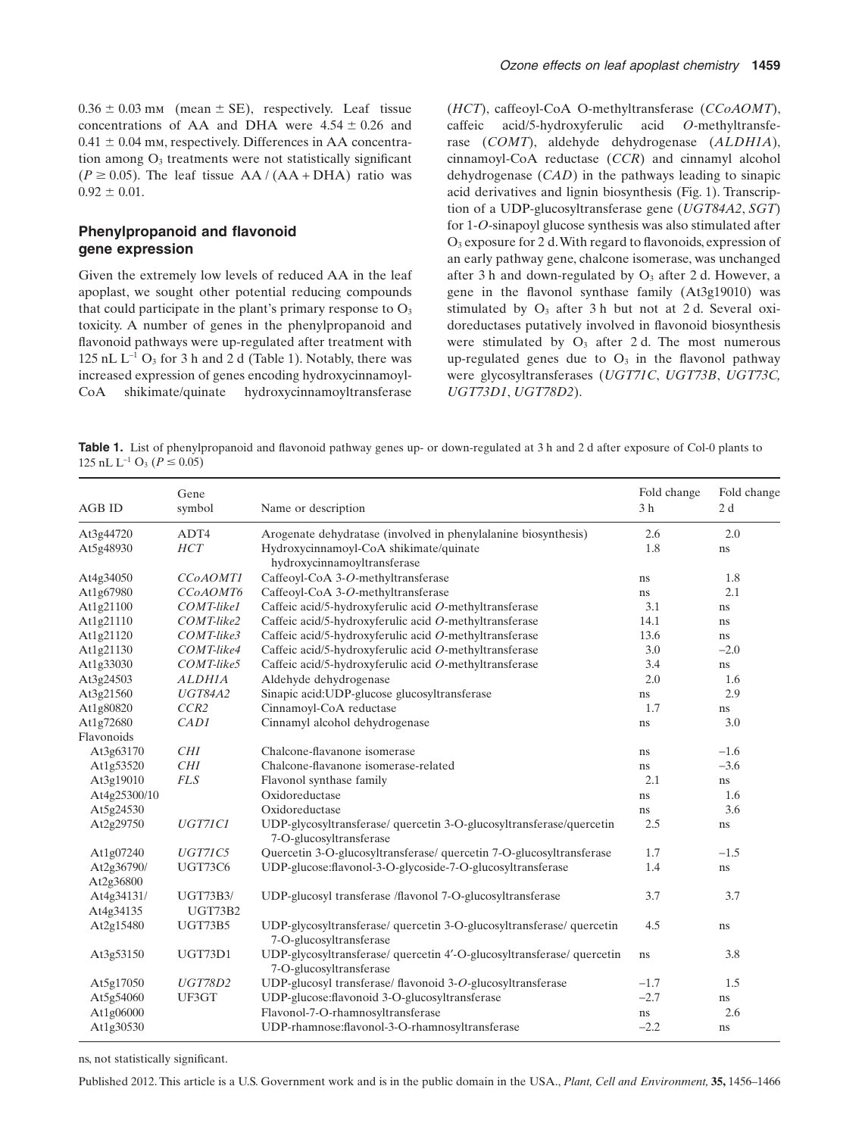$0.36 \pm 0.03$  mm (mean  $\pm$  SE), respectively. Leaf tissue concentrations of AA and DHA were  $4.54 \pm 0.26$  and  $0.41 \pm 0.04$  mm, respectively. Differences in AA concentration among  $O<sub>3</sub>$  treatments were not statistically significant  $(P \ge 0.05)$ . The leaf tissue AA / (AA + DHA) ratio was  $0.92 \pm 0.01$ .

# **Phenylpropanoid and flavonoid gene expression**

Given the extremely low levels of reduced AA in the leaf apoplast, we sought other potential reducing compounds that could participate in the plant's primary response to  $O<sub>3</sub>$ toxicity. A number of genes in the phenylpropanoid and flavonoid pathways were up-regulated after treatment with 125 nL  $L^{-1}$  O<sub>3</sub> for 3 h and 2 d (Table 1). Notably, there was increased expression of genes encoding hydroxycinnamoyl-CoA shikimate/quinate hydroxycinnamoyltransferase

(*HCT*), caffeoyl-CoA O-methyltransferase (*CCoAOMT*), caffeic acid/5-hydroxyferulic acid *O*-methyltransferase (*COMT*), aldehyde dehydrogenase (*ALDH1A*), cinnamoyl-CoA reductase (*CCR*) and cinnamyl alcohol dehydrogenase (*CAD*) in the pathways leading to sinapic acid derivatives and lignin biosynthesis (Fig. 1). Transcription of a UDP-glucosyltransferase gene (*UGT84A2*, *SGT*) for 1-*O*-sinapoyl glucose synthesis was also stimulated after O3 exposure for 2 d.With regard to flavonoids, expression of an early pathway gene, chalcone isomerase, was unchanged after 3 h and down-regulated by  $O_3$  after 2 d. However, a gene in the flavonol synthase family (At3g19010) was stimulated by  $O_3$  after 3 h but not at 2 d. Several oxidoreductases putatively involved in flavonoid biosynthesis were stimulated by  $O_3$  after 2 d. The most numerous up-regulated genes due to  $O_3$  in the flavonol pathway were glycosyltransferases (*UGT71C*, *UGT73B*, *UGT73C, UGT73D1*, *UGT78D2*).

**Table 1.** List of phenylpropanoid and flavonoid pathway genes up- or down-regulated at 3 h and 2 d after exposure of Col-0 plants to 125 nL L<sup>-1</sup> O<sub>3</sub> ( $P \le 0.05$ )

| <b>AGB ID</b> | Gene<br>symbol   | Name or description                                                                               | Fold change<br>3 <sub>h</sub> | Fold change<br>2d |
|---------------|------------------|---------------------------------------------------------------------------------------------------|-------------------------------|-------------------|
| At3g44720     | ADT4             | Arogenate dehydratase (involved in phenylalanine biosynthesis)                                    | 2.6                           | 2.0               |
| At5g48930     | HCT              | Hydroxycinnamoyl-CoA shikimate/quinate<br>hydroxycinnamoyltransferase                             | 1.8                           | ns                |
| At4g34050     | CCoAOMT1         | Caffeoyl-CoA 3-O-methyltransferase                                                                | ns                            | 1.8               |
| At1g67980     | CCoAOMT6         | Caffeoyl-CoA 3-O-methyltransferase                                                                | ns                            | 2.1               |
| At1g21100     | COMT-like1       | Caffeic acid/5-hydroxyferulic acid O-methyltransferase                                            | 3.1                           | ns                |
| At1g21110     | $COMT$ -like2    | Caffeic acid/5-hydroxyferulic acid O-methyltransferase                                            | 14.1                          | ns                |
| At1g21120     | COMT-like3       | Caffeic acid/5-hydroxyferulic acid O-methyltransferase                                            | 13.6                          | ns                |
| At1g21130     | COMT-like4       | Caffeic acid/5-hydroxyferulic acid O-methyltransferase                                            | 3.0                           | $-2.0$            |
| At1g33030     | COMT-like5       | Caffeic acid/5-hydroxyferulic acid O-methyltransferase                                            | 3.4                           | ns                |
| At3g24503     | <b>ALDHIA</b>    | Aldehyde dehydrogenase                                                                            | 2.0                           | 1.6               |
| At3g21560     | <b>UGT84A2</b>   | Sinapic acid: UDP-glucose glucosyltransferase                                                     | ns                            | 2.9               |
| At1g80820     | CCR <sub>2</sub> | Cinnamoyl-CoA reductase                                                                           | 1.7                           | $\rm ns$          |
| At1g72680     | CAD1             | Cinnamyl alcohol dehydrogenase                                                                    | ns                            | 3.0               |
| Flavonoids    |                  |                                                                                                   |                               |                   |
| At3g63170     | CHI              | Chalcone-flavanone isomerase                                                                      | ns                            | $-1.6$            |
| At1g53520     | CHI              | Chalcone-flavanone isomerase-related                                                              | ns                            | $-3.6$            |
| At3g19010     | <b>FLS</b>       | Flavonol synthase family                                                                          | 2.1                           | ns                |
| At4g25300/10  |                  | Oxidoreductase                                                                                    | ns                            | 1.6               |
| At5g24530     |                  | Oxidoreductase                                                                                    | ns                            | 3.6               |
| At2g29750     | <b>UGT71C1</b>   | UDP-glycosyltransferase/ quercetin 3-O-glucosyltransferase/quercetin<br>7-O-glucosyltransferase   | 2.5                           | ns                |
| At1g07240     | <b>UGT71C5</b>   | Quercetin 3-O-glucosyltransferase/ quercetin 7-O-glucosyltransferase                              | 1.7                           | $-1.5$            |
| At2g36790/    | <b>UGT73C6</b>   | UDP-glucose:flavonol-3-O-glycoside-7-O-glucosyltransferase                                        | 1.4                           | $\rm ns$          |
| At2g36800     |                  |                                                                                                   |                               |                   |
| At4g34131/    | <b>UGT73B3/</b>  | UDP-glucosyl transferase /flavonol 7-O-glucosyltransferase                                        | 3.7                           | 3.7               |
| At4g34135     | <b>UGT73B2</b>   |                                                                                                   |                               |                   |
| At2g15480     | <b>UGT73B5</b>   | UDP-glycosyltransferase/ quercetin 3-O-glucosyltransferase/ quercetin<br>7-O-glucosyltransferase  | 4.5                           | ns                |
| At3g53150     | UGT73D1          | UDP-glycosyltransferase/ quercetin 4'-O-glucosyltransferase/ quercetin<br>7-O-glucosyltransferase | ns                            | 3.8               |
| At5g17050     | <b>UGT78D2</b>   | UDP-glucosyl transferase/ flavonoid 3-O-glucosyltransferase                                       | $-1.7$                        | 1.5               |
| At5g54060     | UF3GT            | UDP-glucose:flavonoid 3-O-glucosyltransferase                                                     | $-2.7$                        | ns                |
| At1g06000     |                  | Flavonol-7-O-rhamnosyltransferase                                                                 | ns                            | 2.6               |
| At1g30530     |                  | UDP-rhamnose:flavonol-3-O-rhamnosyltransferase                                                    | $-2.2$                        | ns                |

ns, not statistically significant.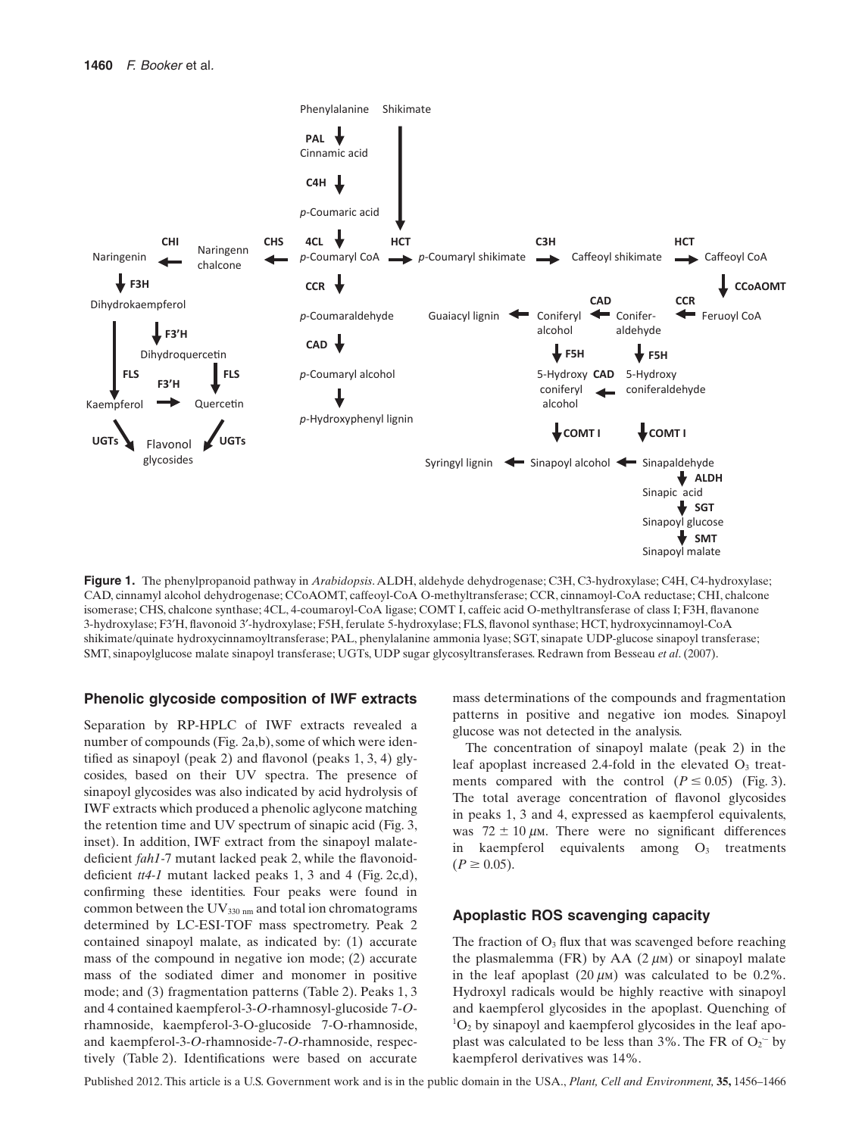

**Figure 1.** The phenylpropanoid pathway in *Arabidopsis*. ALDH, aldehyde dehydrogenase; C3H, C3-hydroxylase; C4H, C4-hydroxylase; CAD, cinnamyl alcohol dehydrogenase; CCoAOMT, caffeoyl-CoA O-methyltransferase; CCR, cinnamoyl-CoA reductase; CHI, chalcone isomerase; CHS, chalcone synthase; 4CL, 4-coumaroyl-CoA ligase; COMT I, caffeic acid O-methyltransferase of class I; F3H, flavanone 3-hydroxylase; F3′H, flavonoid 3′-hydroxylase; F5H, ferulate 5-hydroxylase; FLS, flavonol synthase; HCT, hydroxycinnamoyl-CoA shikimate/quinate hydroxycinnamoyltransferase; PAL, phenylalanine ammonia lyase; SGT, sinapate UDP-glucose sinapoyl transferase; SMT, sinapoylglucose malate sinapoyl transferase; UGTs, UDP sugar glycosyltransferases. Redrawn from Besseau *et al*. (2007).

#### **Phenolic glycoside composition of IWF extracts**

Separation by RP-HPLC of IWF extracts revealed a number of compounds (Fig. 2a,b), some of which were identified as sinapoyl (peak 2) and flavonol (peaks 1, 3, 4) glycosides, based on their UV spectra. The presence of sinapoyl glycosides was also indicated by acid hydrolysis of IWF extracts which produced a phenolic aglycone matching the retention time and UV spectrum of sinapic acid (Fig. 3, inset). In addition, IWF extract from the sinapoyl malatedeficient *fah1-*7 mutant lacked peak 2, while the flavonoiddeficient *tt4-1* mutant lacked peaks 1, 3 and 4 (Fig. 2c,d), confirming these identities. Four peaks were found in common between the  $UV_{330 \text{ nm}}$  and total ion chromatograms determined by LC-ESI-TOF mass spectrometry. Peak 2 contained sinapoyl malate, as indicated by: (1) accurate mass of the compound in negative ion mode; (2) accurate mass of the sodiated dimer and monomer in positive mode; and (3) fragmentation patterns (Table 2). Peaks 1, 3 and 4 contained kaempferol-3-*O*-rhamnosyl-glucoside 7-*O*rhamnoside, kaempferol-3-O-glucoside 7-O-rhamnoside, and kaempferol-3-*O*-rhamnoside-7-*O*-rhamnoside, respectively (Table 2). Identifications were based on accurate

mass determinations of the compounds and fragmentation patterns in positive and negative ion modes. Sinapoyl glucose was not detected in the analysis.

The concentration of sinapoyl malate (peak 2) in the leaf apoplast increased 2.4-fold in the elevated  $O_3$  treatments compared with the control  $(P \le 0.05)$  (Fig. 3). The total average concentration of flavonol glycosides in peaks 1, 3 and 4, expressed as kaempferol equivalents, was  $72 \pm 10 \,\mu$ M. There were no significant differences in kaempferol equivalents among  $O_3$  treatments  $(P \ge 0.05)$ .

## **Apoplastic ROS scavenging capacity**

The fraction of  $O_3$  flux that was scavenged before reaching the plasmalemma (FR) by AA  $(2 \mu)$  or sinapoyl malate in the leaf apoplast  $(20 \mu m)$  was calculated to be 0.2%. Hydroxyl radicals would be highly reactive with sinapoyl and kaempferol glycosides in the apoplast. Quenching of  ${}^{1}O_{2}$  by sinapoyl and kaempferol glycosides in the leaf apoplast was calculated to be less than  $3\%$ . The FR of  $O_2$ <sup>-</sup> by kaempferol derivatives was 14%.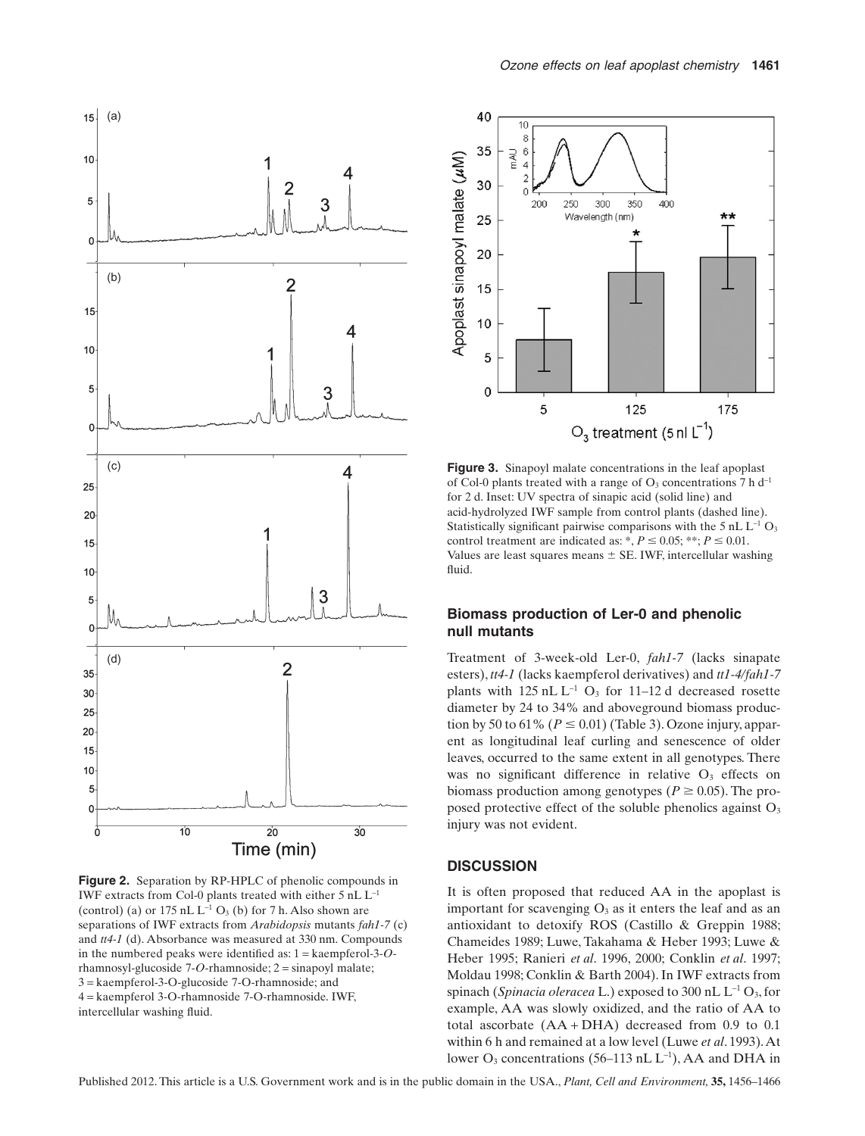

**Figure 2.** Separation by RP-HPLC of phenolic compounds in IWF extracts from Col-0 plants treated with either  $5$  nL  $L^{-1}$ (control) (a) or  $175$  nL  $L^{-1}$  O<sub>3</sub> (b) for 7 h. Also shown are separations of IWF extracts from *Arabidopsis* mutants *fah1-7* (c) and *tt4-1* (d). Absorbance was measured at 330 nm. Compounds in the numbered peaks were identified as: 1 = kaempferol-3-*O*rhamnosyl-glucoside 7-*O*-rhamnoside; 2 = sinapoyl malate; 3 = kaempferol-3-O-glucoside 7-O-rhamnoside; and 4 = kaempferol 3-O-rhamnoside 7-O-rhamnoside. IWF, intercellular washing fluid.



**Figure 3.** Sinapoyl malate concentrations in the leaf apoplast of Col-0 plants treated with a range of  $O_3$  concentrations 7 h d<sup>-1</sup> for 2 d. Inset: UV spectra of sinapic acid (solid line) and acid-hydrolyzed IWF sample from control plants (dashed line). Statistically significant pairwise comparisons with the 5 nL  $L^{-1}$  O<sub>3</sub> control treatment are indicated as: \*,  $P \le 0.05$ ; \*\*;  $P \le 0.01$ . Values are least squares means  $\pm$  SE. IWF, intercellular washing fluid.

# **Biomass production of Ler-0 and phenolic null mutants**

Treatment of 3-week-old Ler-0, *fah1-7* (lacks sinapate esters), *tt4-1* (lacks kaempferol derivatives) and *tt1-4/fah1-7* plants with  $125$  nL L<sup>-1</sup> O<sub>3</sub> for 11–12 d decreased rosette diameter by 24 to 34% and aboveground biomass production by 50 to 61% ( $P \le 0.01$ ) (Table 3). Ozone injury, apparent as longitudinal leaf curling and senescence of older leaves, occurred to the same extent in all genotypes. There was no significant difference in relative  $O<sub>3</sub>$  effects on biomass production among genotypes ( $P \ge 0.05$ ). The proposed protective effect of the soluble phenolics against O<sub>3</sub> injury was not evident.

### **DISCUSSION**

It is often proposed that reduced AA in the apoplast is important for scavenging  $O_3$  as it enters the leaf and as an antioxidant to detoxify ROS (Castillo & Greppin 1988; Chameides 1989; Luwe, Takahama & Heber 1993; Luwe & Heber 1995; Ranieri *et al*. 1996, 2000; Conklin *et al*. 1997; Moldau 1998; Conklin & Barth 2004). In IWF extracts from spinach (*Spinacia oleracea* L.) exposed to 300 nL  $L^{-1}O_3$ , for example, AA was slowly oxidized, and the ratio of AA to total ascorbate (AA + DHA) decreased from 0.9 to 0.1 within 6 h and remained at a low level (Luwe *et al*. 1993).At lower  $O_3$  concentrations (56–113 nL L<sup>-1</sup>), AA and DHA in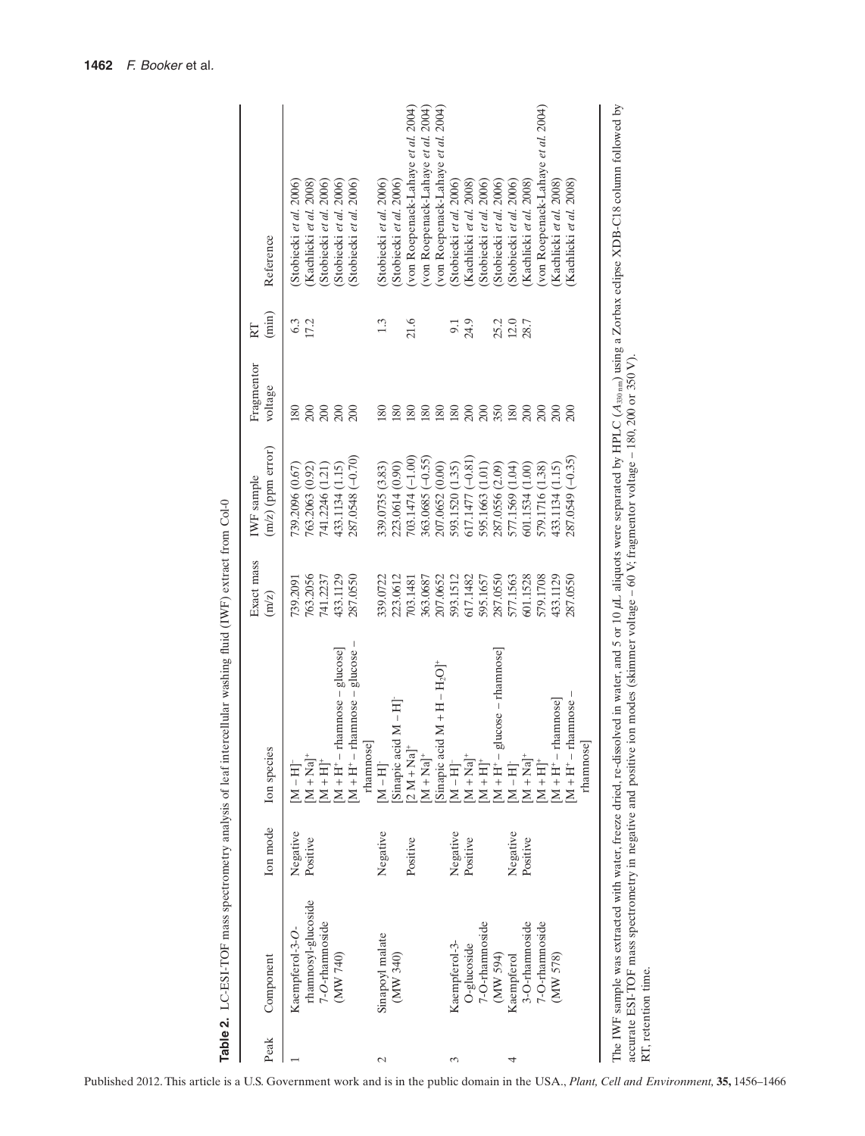| Peak | Component           | Ion mode | Ion species                                                                                                                                                                                                                                                                                                                                      | Exact mass<br>(m/z) | $(m/z)$ (ppm error)<br>IWF sample | Fragmentor<br>voltage | $(\min)$<br>RT | Reference                          |
|------|---------------------|----------|--------------------------------------------------------------------------------------------------------------------------------------------------------------------------------------------------------------------------------------------------------------------------------------------------------------------------------------------------|---------------------|-----------------------------------|-----------------------|----------------|------------------------------------|
|      | Kaempferol-3-O      | Negative | $\rm [M-H]^{-}$                                                                                                                                                                                                                                                                                                                                  | 739.2091            | 739.2096 (0.67)                   | 180                   | 6.3            | Stobiecki et al. 2006              |
|      | rhamnosyl-glucoside | Positive | $[M + Na]$ <sup>+</sup>                                                                                                                                                                                                                                                                                                                          | 763.2056            | 763.2063 (0.92)                   | 200                   | 17.2           | (Kachlicki et al. 2008)            |
|      | 7-O-rhamnoside      |          | $[M + H]$ <sup>+</sup>                                                                                                                                                                                                                                                                                                                           | 741.2237            | 741.2246 (1.21)                   | 200                   |                | (Stobiecki et al. 2006)            |
|      | (MW 740)            |          | $r$ hamnose – glucose<br>$M + H^+ -$                                                                                                                                                                                                                                                                                                             | 433.1129            | 433.1134 (1.15)                   | 200                   |                | Stobiecki et al. 2006)             |
|      |                     |          | rhamnose - glucose -<br>rhamnose<br>$M + H^+ -$                                                                                                                                                                                                                                                                                                  | 287.0550            | 287.0548 (-0.70)                  | 200                   |                | (Stobiecki et al. 2006)            |
|      | Sinapoyl malate     | Negative | $[M-H]$                                                                                                                                                                                                                                                                                                                                          | 339.0722            | 339.0735 (3.83)                   | $\overline{80}$       | 1.3            | (Stobiecki et al. 2006)            |
|      | (MW 340)            |          | Sinapic acid M-H]                                                                                                                                                                                                                                                                                                                                | 223.0612            | 223.0614 (0.90)                   | 180                   |                | (Stobiecki et al. 2006)            |
|      |                     | Positive | $2 M + Na+$                                                                                                                                                                                                                                                                                                                                      | 703.1481            | 703.1474 (-1.00)                  | $\frac{80}{2}$        | 21.6           | (von Roepenack-Lahaye et al. 2004) |
|      |                     |          | $M + Na+$                                                                                                                                                                                                                                                                                                                                        | 363.0687            | 363.0685 (-0.55)                  | 180                   |                | (von Roepenack-Lahaye et al. 2004) |
|      |                     |          | Sinapic acid $M + H - H2O$ <sup>+</sup>                                                                                                                                                                                                                                                                                                          | 207.0652            | 207.0652 (0.00)                   | 180                   |                | (von Roepenack-Lahaye et al. 2004) |
|      | Kaempferol-3-       | Negative | $[M-H]$                                                                                                                                                                                                                                                                                                                                          | 593.1512            | 593.1520 (1.35)                   | 180                   |                | Stobiecki et al. 2006)             |
|      | O-glucoside         | Positive | $M + Na$ <sup>+</sup>                                                                                                                                                                                                                                                                                                                            | 617.1482            | $617.1477(-0.81)$                 | 200                   | 24.9           | (Kachlicki et al. 2008)            |
|      | 7-O-rhamnoside      |          | $M + H$ <sup>+</sup>                                                                                                                                                                                                                                                                                                                             | 595.1657            | 595.1663 (1.01)                   | 200                   |                | Stobiecki et al. 2006)             |
|      | (MN 594)            |          | glucose - rhamnose]<br>$M + H^+$                                                                                                                                                                                                                                                                                                                 | 287.0550            | 287.0556 (2.09)                   | 350                   | 25.2           | Stobiecki et al. 2006)             |
|      | Kaempferol          | Negative | $\mathbf{M}-\mathbf{H}$                                                                                                                                                                                                                                                                                                                          | 577.1563            | 577.1569 (1.04)                   | 180                   | 12.0           | Stobiecki et al. 2006)             |
|      | 3-O-rhamnoside      | Positive | $M + Na$ <sup>+</sup>                                                                                                                                                                                                                                                                                                                            | 601.1528            | 601.1534 (1.00)                   | 200                   | 28.7           | (Kachlicki et al. 2008)            |
|      | 7-O-rhamnoside      |          | $M + H$ <sup>+</sup>                                                                                                                                                                                                                                                                                                                             | 579.1708            | 579.1716 (1.38)                   | 200                   |                | (von Roepenack-Lahaye et al. 2004) |
|      | (MW 578)            |          | rhamnose]<br>$M + H^+$                                                                                                                                                                                                                                                                                                                           | 433.1129            | 433.1134 (1.15)                   | 200                   |                | (Kachlicki et al. 2008)            |
|      |                     |          | $r$ hamnose $-$<br>$M + H^+ -$                                                                                                                                                                                                                                                                                                                   | 287.0550            | 287.0549 (-0.35)                  | 200                   |                | (Kachlicki et al. 2008)            |
|      |                     |          | rhamnose]                                                                                                                                                                                                                                                                                                                                        |                     |                                   |                       |                |                                    |
|      |                     |          | The IWF sample was extracted with water, freeze dried, re-dissolved in water, and 5 or 10 µL aliquots were separated by HPLC (A <sub>330 mn</sub> ) using a Zorbax eclipse XDB-C18 column followed by<br>accurate ESI-TOF mass spectrometry in negative and positive ion modes (skimmer voltage – 60 V; fragmentor voltage – 180, 200 or 350 V). |                     |                                   |                       |                |                                    |
|      |                     |          |                                                                                                                                                                                                                                                                                                                                                  |                     |                                   |                       |                |                                    |

RT, retention time.

RT, retention time.

Table 2. LC-ESI-TOF mass spectrometry analysis of leaf intercellular washing fluid (IWF) extract from Col-0 **Table 2.** LC-ESI-TOF mass spectrometry analysis of leaf intercellular washing fluid (IWF) extract from Col-0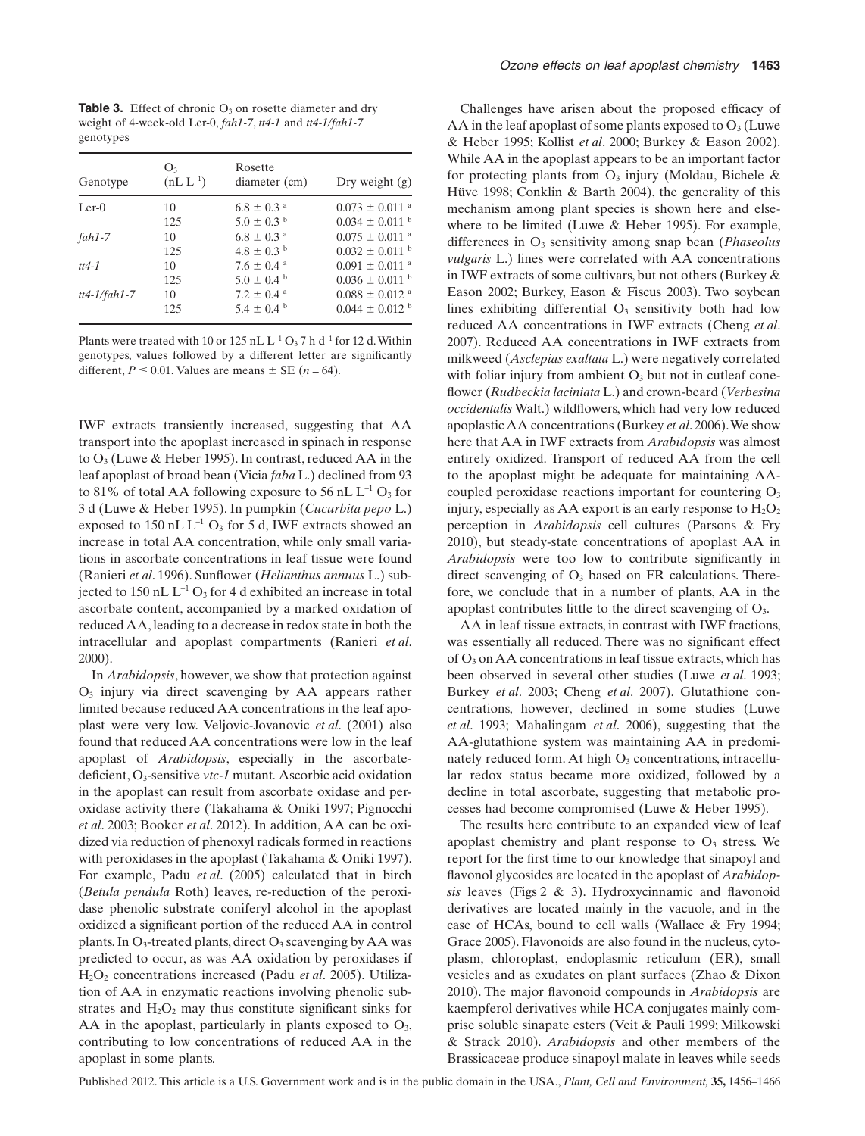**Table 3.** Effect of chronic O<sub>3</sub> on rosette diameter and dry weight of 4-week-old Ler-0, *fah1-7*, *tt4-1* and *tt4-1/fah1-7* genotypes

| Genotype       | O <sub>3</sub><br>$(nL L^{-1})$ | Rosette<br>diameter (cm)   | Dry weight $(g)$               |
|----------------|---------------------------------|----------------------------|--------------------------------|
| $Ler-0$        | 10                              | $6.8 \pm 0.3$ <sup>a</sup> | $0.073 \pm 0.011$ <sup>a</sup> |
|                | 125                             | $5.0 \pm 0.3$ <sup>b</sup> | $0.034 \pm 0.011$ b            |
| $fah1-7$       | 10                              | $6.8 \pm 0.3$ <sup>a</sup> | $0.075 \pm 0.011$ <sup>a</sup> |
|                | 125                             | $4.8 \pm 0.3$ <sup>b</sup> | $0.032 \pm 0.011$ b            |
| $tt4-1$        | 10                              | $7.6 \pm 0.4$ <sup>a</sup> | $0.091 \pm 0.011$ <sup>a</sup> |
|                | 125                             | $5.0 \pm 0.4^{\circ}$      | $0.036 \pm 0.011$ b            |
| $tt4-1/fahl-7$ | 10                              | $7.2 \pm 0.4$ <sup>a</sup> | $0.088 \pm 0.012$ <sup>a</sup> |
|                | 125                             | $5.4 \pm 0.4^{\circ}$      | $0.044 \pm 0.012$ <sup>b</sup> |

Plants were treated with 10 or 125 nL  $L^{-1}$  O<sub>3</sub> 7 h d<sup>-1</sup> for 12 d. Within genotypes, values followed by a different letter are significantly different,  $P \le 0.01$ . Values are means  $\pm$  SE (*n* = 64).

IWF extracts transiently increased, suggesting that AA transport into the apoplast increased in spinach in response to O3 (Luwe & Heber 1995). In contrast, reduced AA in the leaf apoplast of broad bean (Vicia *faba* L.) declined from 93 to 81% of total AA following exposure to 56 nL  $L^{-1}$  O<sub>3</sub> for 3 d (Luwe & Heber 1995). In pumpkin (*Cucurbita pepo* L.) exposed to 150 nL  $L^{-1}$  O<sub>3</sub> for 5 d, IWF extracts showed an increase in total AA concentration, while only small variations in ascorbate concentrations in leaf tissue were found (Ranieri *et al*. 1996). Sunflower (*Helianthus annuus* L.) subjected to 150 nL  $L^{-1}$  O<sub>3</sub> for 4 d exhibited an increase in total ascorbate content, accompanied by a marked oxidation of reduced AA, leading to a decrease in redox state in both the intracellular and apoplast compartments (Ranieri *et al*. 2000).

In *Arabidopsis*, however, we show that protection against  $O<sub>3</sub>$  injury via direct scavenging by AA appears rather limited because reduced AA concentrations in the leaf apoplast were very low. Veljovic-Jovanovic *et al*. (2001) also found that reduced AA concentrations were low in the leaf apoplast of *Arabidopsis*, especially in the ascorbatedeficient, O3-sensitive *vtc-1* mutant*.* Ascorbic acid oxidation in the apoplast can result from ascorbate oxidase and peroxidase activity there (Takahama & Oniki 1997; Pignocchi *et al*. 2003; Booker *et al*. 2012). In addition, AA can be oxidized via reduction of phenoxyl radicals formed in reactions with peroxidases in the apoplast (Takahama & Oniki 1997). For example, Padu *et al*. (2005) calculated that in birch (*Betula pendula* Roth) leaves, re-reduction of the peroxidase phenolic substrate coniferyl alcohol in the apoplast oxidized a significant portion of the reduced AA in control plants. In  $O_3$ -treated plants, direct  $O_3$  scavenging by AA was predicted to occur, as was AA oxidation by peroxidases if H2O2 concentrations increased (Padu *et al*. 2005). Utilization of AA in enzymatic reactions involving phenolic substrates and  $H_2O_2$  may thus constitute significant sinks for AA in the apoplast, particularly in plants exposed to  $O_3$ , contributing to low concentrations of reduced AA in the apoplast in some plants.

Challenges have arisen about the proposed efficacy of AA in the leaf apoplast of some plants exposed to  $O_3$  (Luwe & Heber 1995; Kollist *et al*. 2000; Burkey & Eason 2002). While AA in the apoplast appears to be an important factor for protecting plants from  $O_3$  injury (Moldau, Bichele & Hüve 1998; Conklin & Barth 2004), the generality of this mechanism among plant species is shown here and elsewhere to be limited (Luwe & Heber 1995). For example, differences in O<sub>3</sub> sensitivity among snap bean (*Phaseolus*) *vulgaris* L.) lines were correlated with AA concentrations in IWF extracts of some cultivars, but not others (Burkey & Eason 2002; Burkey, Eason & Fiscus 2003). Two soybean lines exhibiting differential  $O_3$  sensitivity both had low reduced AA concentrations in IWF extracts (Cheng *et al*. 2007). Reduced AA concentrations in IWF extracts from milkweed (*Asclepias exaltata* L.) were negatively correlated with foliar injury from ambient  $O<sub>3</sub>$  but not in cutleaf coneflower (*Rudbeckia laciniata* L.) and crown-beard (*Verbesina occidentalis* Walt.) wildflowers, which had very low reduced apoplastic AA concentrations (Burkey *et al*. 2006).We show here that AA in IWF extracts from *Arabidopsis* was almost entirely oxidized. Transport of reduced AA from the cell to the apoplast might be adequate for maintaining AAcoupled peroxidase reactions important for countering  $O<sub>3</sub>$ injury, especially as AA export is an early response to  $H_2O_2$ perception in *Arabidopsis* cell cultures (Parsons & Fry 2010), but steady-state concentrations of apoplast AA in *Arabidopsis* were too low to contribute significantly in direct scavenging of  $O_3$  based on FR calculations. Therefore, we conclude that in a number of plants, AA in the apoplast contributes little to the direct scavenging of  $O_3$ .

AA in leaf tissue extracts, in contrast with IWF fractions, was essentially all reduced. There was no significant effect of O3 on AA concentrations in leaf tissue extracts, which has been observed in several other studies (Luwe *et al*. 1993; Burkey *et al*. 2003; Cheng *et al*. 2007). Glutathione concentrations, however, declined in some studies (Luwe *et al*. 1993; Mahalingam *et al*. 2006), suggesting that the AA-glutathione system was maintaining AA in predominately reduced form. At high  $O<sub>3</sub>$  concentrations, intracellular redox status became more oxidized, followed by a decline in total ascorbate, suggesting that metabolic processes had become compromised (Luwe & Heber 1995).

The results here contribute to an expanded view of leaf apoplast chemistry and plant response to  $O<sub>3</sub>$  stress. We report for the first time to our knowledge that sinapoyl and flavonol glycosides are located in the apoplast of *Arabidopsis* leaves (Figs 2 & 3). Hydroxycinnamic and flavonoid derivatives are located mainly in the vacuole, and in the case of HCAs, bound to cell walls (Wallace & Fry 1994; Grace 2005). Flavonoids are also found in the nucleus, cytoplasm, chloroplast, endoplasmic reticulum (ER), small vesicles and as exudates on plant surfaces (Zhao & Dixon 2010). The major flavonoid compounds in *Arabidopsis* are kaempferol derivatives while HCA conjugates mainly comprise soluble sinapate esters (Veit & Pauli 1999; Milkowski & Strack 2010). *Arabidopsis* and other members of the Brassicaceae produce sinapoyl malate in leaves while seeds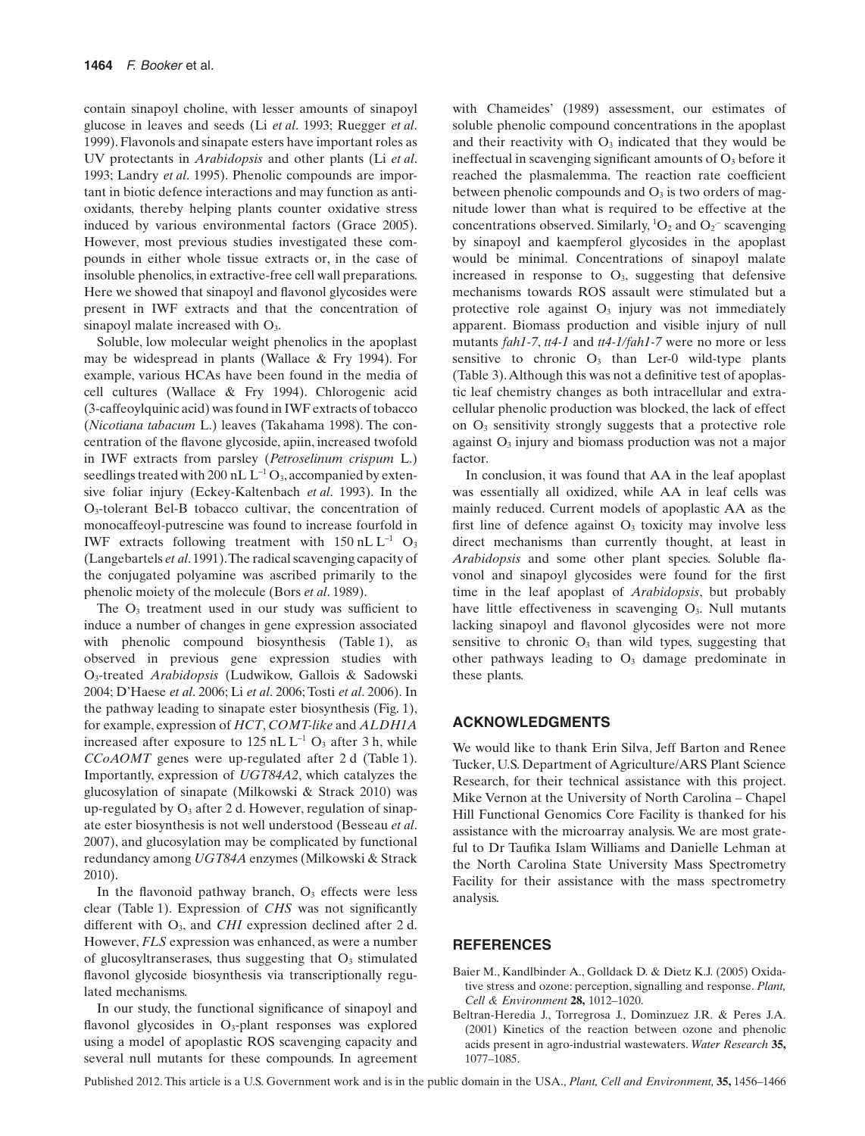contain sinapoyl choline, with lesser amounts of sinapoyl glucose in leaves and seeds (Li *et al*. 1993; Ruegger *et al*. 1999). Flavonols and sinapate esters have important roles as UV protectants in *Arabidopsis* and other plants (Li *et al*. 1993; Landry *et al*. 1995). Phenolic compounds are important in biotic defence interactions and may function as antioxidants, thereby helping plants counter oxidative stress induced by various environmental factors (Grace 2005). However, most previous studies investigated these compounds in either whole tissue extracts or, in the case of insoluble phenolics, in extractive-free cell wall preparations. Here we showed that sinapoyl and flavonol glycosides were present in IWF extracts and that the concentration of sinapoyl malate increased with  $O<sub>3</sub>$ .

Soluble, low molecular weight phenolics in the apoplast may be widespread in plants (Wallace & Fry 1994). For example, various HCAs have been found in the media of cell cultures (Wallace & Fry 1994). Chlorogenic acid (3-caffeoylquinic acid) was found in IWF extracts of tobacco (*Nicotiana tabacum* L.) leaves (Takahama 1998). The concentration of the flavone glycoside, apiin, increased twofold in IWF extracts from parsley (*Petroselinum crispum* L.) seedlings treated with 200 nL  $L^{-1}$  O<sub>3</sub>, accompanied by extensive foliar injury (Eckey-Kaltenbach *et al*. 1993). In the O3-tolerant Bel-B tobacco cultivar, the concentration of monocaffeoyl-putrescine was found to increase fourfold in IWF extracts following treatment with  $150$  nL L<sup>-1</sup> O<sub>3</sub> (Langebartels *et al*. 1991).The radical scavenging capacity of the conjugated polyamine was ascribed primarily to the phenolic moiety of the molecule (Bors *et al*. 1989).

The  $O_3$  treatment used in our study was sufficient to induce a number of changes in gene expression associated with phenolic compound biosynthesis (Table 1), as observed in previous gene expression studies with O3-treated *Arabidopsis* (Ludwikow, Gallois & Sadowski 2004; D'Haese *et al*. 2006; Li *et al*. 2006; Tosti *et al*. 2006). In the pathway leading to sinapate ester biosynthesis (Fig. 1), for example, expression of *HCT*, *COMT-like* and *ALDH1A* increased after exposure to  $125$  nL  $L^{-1}$  O<sub>3</sub> after 3 h, while *CCoAOMT* genes were up-regulated after 2 d (Table 1). Importantly, expression of *UGT84A2*, which catalyzes the glucosylation of sinapate (Milkowski & Strack 2010) was up-regulated by  $O_3$  after 2 d. However, regulation of sinapate ester biosynthesis is not well understood (Besseau *et al*. 2007), and glucosylation may be complicated by functional redundancy among *UGT84A* enzymes (Milkowski & Strack 2010).

In the flavonoid pathway branch,  $O<sub>3</sub>$  effects were less clear (Table 1). Expression of *CHS* was not significantly different with O<sub>3</sub>, and *CHI* expression declined after 2 d. However, *FLS* expression was enhanced, as were a number of glucosyltranserases, thus suggesting that  $O<sub>3</sub>$  stimulated flavonol glycoside biosynthesis via transcriptionally regulated mechanisms.

In our study, the functional significance of sinapoyl and flavonol glycosides in  $O_3$ -plant responses was explored using a model of apoplastic ROS scavenging capacity and several null mutants for these compounds. In agreement with Chameides' (1989) assessment, our estimates of soluble phenolic compound concentrations in the apoplast and their reactivity with  $O_3$  indicated that they would be ineffectual in scavenging significant amounts of  $O_3$  before it reached the plasmalemma. The reaction rate coefficient between phenolic compounds and  $O_3$  is two orders of magnitude lower than what is required to be effective at the concentrations observed. Similarly,  ${}^{1}O_{2}$  and  $O_{2}$ <sup>-</sup> scavenging by sinapoyl and kaempferol glycosides in the apoplast would be minimal. Concentrations of sinapoyl malate increased in response to  $O_3$ , suggesting that defensive mechanisms towards ROS assault were stimulated but a protective role against O<sub>3</sub> injury was not immediately apparent. Biomass production and visible injury of null mutants *fah1-7*, *tt4-1* and *tt4-1/fah1-7* were no more or less sensitive to chronic  $O_3$  than Ler-0 wild-type plants (Table 3).Although this was not a definitive test of apoplastic leaf chemistry changes as both intracellular and extracellular phenolic production was blocked, the lack of effect on O3 sensitivity strongly suggests that a protective role against O3 injury and biomass production was not a major factor.

In conclusion, it was found that AA in the leaf apoplast was essentially all oxidized, while AA in leaf cells was mainly reduced. Current models of apoplastic AA as the first line of defence against  $O<sub>3</sub>$  toxicity may involve less direct mechanisms than currently thought, at least in *Arabidopsis* and some other plant species. Soluble flavonol and sinapoyl glycosides were found for the first time in the leaf apoplast of *Arabidopsis*, but probably have little effectiveness in scavenging  $O<sub>3</sub>$ . Null mutants lacking sinapoyl and flavonol glycosides were not more sensitive to chronic  $O_3$  than wild types, suggesting that other pathways leading to  $O<sub>3</sub>$  damage predominate in these plants.

## **ACKNOWLEDGMENTS**

We would like to thank Erin Silva, Jeff Barton and Renee Tucker, U.S. Department of Agriculture/ARS Plant Science Research, for their technical assistance with this project. Mike Vernon at the University of North Carolina – Chapel Hill Functional Genomics Core Facility is thanked for his assistance with the microarray analysis. We are most grateful to Dr Taufika Islam Williams and Danielle Lehman at the North Carolina State University Mass Spectrometry Facility for their assistance with the mass spectrometry analysis.

### **REFERENCES**

- Baier M., Kandlbinder A., Golldack D. & Dietz K.J. (2005) Oxidative stress and ozone: perception, signalling and response. *Plant, Cell & Environment* **28,** 1012–1020.
- Beltran-Heredia J., Torregrosa J., Dominzuez J.R. & Peres J.A. (2001) Kinetics of the reaction between ozone and phenolic acids present in agro-industrial wastewaters. *Water Research* **35,** 1077–1085.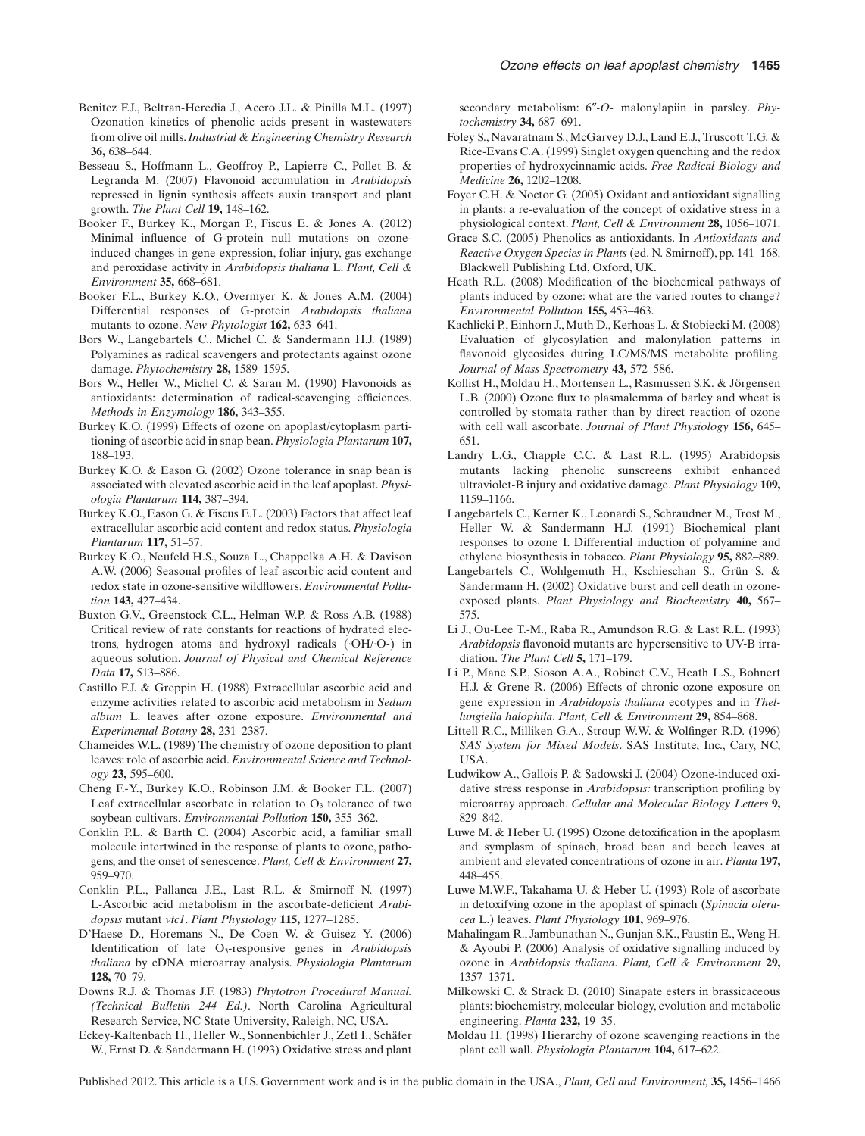- Benitez F.J., Beltran-Heredia J., Acero J.L. & Pinilla M.L. (1997) Ozonation kinetics of phenolic acids present in wastewaters from olive oil mills.*Industrial & Engineering Chemistry Research* **36,** 638–644.
- Besseau S., Hoffmann L., Geoffroy P., Lapierre C., Pollet B. & Legranda M. (2007) Flavonoid accumulation in *Arabidopsis* repressed in lignin synthesis affects auxin transport and plant growth. *The Plant Cell* **19,** 148–162.
- Booker F., Burkey K., Morgan P., Fiscus E. & Jones A. (2012) Minimal influence of G-protein null mutations on ozoneinduced changes in gene expression, foliar injury, gas exchange and peroxidase activity in *Arabidopsis thaliana* L. *Plant, Cell & Environment* **35,** 668–681.
- Booker F.L., Burkey K.O., Overmyer K. & Jones A.M. (2004) Differential responses of G-protein *Arabidopsis thaliana* mutants to ozone. *New Phytologist* **162,** 633–641.
- Bors W., Langebartels C., Michel C. & Sandermann H.J. (1989) Polyamines as radical scavengers and protectants against ozone damage. *Phytochemistry* **28,** 1589–1595.
- Bors W., Heller W., Michel C. & Saran M. (1990) Flavonoids as antioxidants: determination of radical-scavenging efficiences. *Methods in Enzymology* **186,** 343–355.
- Burkey K.O. (1999) Effects of ozone on apoplast/cytoplasm partitioning of ascorbic acid in snap bean.*Physiologia Plantarum* **107,** 188–193.
- Burkey K.O. & Eason G. (2002) Ozone tolerance in snap bean is associated with elevated ascorbic acid in the leaf apoplast.*Physiologia Plantarum* **114,** 387–394.
- Burkey K.O., Eason G. & Fiscus E.L. (2003) Factors that affect leaf extracellular ascorbic acid content and redox status. *Physiologia Plantarum* **117,** 51–57.
- Burkey K.O., Neufeld H.S., Souza L., Chappelka A.H. & Davison A.W. (2006) Seasonal profiles of leaf ascorbic acid content and redox state in ozone-sensitive wildflowers. *Environmental Pollution* **143,** 427–434.
- Buxton G.V., Greenstock C.L., Helman W.P. & Ross A.B. (1988) Critical review of rate constants for reactions of hydrated electrons, hydrogen atoms and hydroxyl radicals (·OH/·O-) in aqueous solution. *Journal of Physical and Chemical Reference Data* **17,** 513–886.
- Castillo F.J. & Greppin H. (1988) Extracellular ascorbic acid and enzyme activities related to ascorbic acid metabolism in *Sedum album* L. leaves after ozone exposure. *Environmental and Experimental Botany* **28,** 231–2387.
- Chameides W.L. (1989) The chemistry of ozone deposition to plant leaves: role of ascorbic acid. *Environmental Science and Technology* **23,** 595–600.
- Cheng F.-Y., Burkey K.O., Robinson J.M. & Booker F.L. (2007) Leaf extracellular ascorbate in relation to  $O<sub>3</sub>$  tolerance of two soybean cultivars. *Environmental Pollution* **150,** 355–362.
- Conklin P.L. & Barth C. (2004) Ascorbic acid, a familiar small molecule intertwined in the response of plants to ozone, pathogens, and the onset of senescence. *Plant, Cell & Environment* **27,** 959–970.
- Conklin P.L., Pallanca J.E., Last R.L. & Smirnoff N. (1997) L-Ascorbic acid metabolism in the ascorbate-deficient *Arabidopsis* mutant *vtc1*. *Plant Physiology* **115,** 1277–1285.
- D'Haese D., Horemans N., De Coen W. & Guisez Y. (2006) Identification of late O3-responsive genes in *Arabidopsis thaliana* by cDNA microarray analysis. *Physiologia Plantarum* **128,** 70–79.
- Downs R.J. & Thomas J.F. (1983) *Phytotron Procedural Manual. (Technical Bulletin 244 Ed.)*. North Carolina Agricultural Research Service, NC State University, Raleigh, NC, USA.
- Eckey-Kaltenbach H., Heller W., Sonnenbichler J., Zetl I., Schäfer W., Ernst D. & Sandermann H. (1993) Oxidative stress and plant

secondary metabolism: 6″*-O-* malonylapiin in parsley. *Phytochemistry* **34,** 687–691.

- Foley S., Navaratnam S., McGarvey D.J., Land E.J., Truscott T.G. & Rice-Evans C.A. (1999) Singlet oxygen quenching and the redox properties of hydroxycinnamic acids. *Free Radical Biology and Medicine* **26,** 1202–1208.
- Foyer C.H. & Noctor G. (2005) Oxidant and antioxidant signalling in plants: a re-evaluation of the concept of oxidative stress in a physiological context. *Plant, Cell & Environment* **28,** 1056–1071.
- Grace S.C. (2005) Phenolics as antioxidants. In *Antioxidants and Reactive Oxygen Species in Plants* (ed. N. Smirnoff), pp. 141–168. Blackwell Publishing Ltd, Oxford, UK.
- Heath R.L. (2008) Modification of the biochemical pathways of plants induced by ozone: what are the varied routes to change? *Environmental Pollution* **155,** 453–463.
- Kachlicki P., Einhorn J.,Muth D., Kerhoas L. & Stobiecki M. (2008) Evaluation of glycosylation and malonylation patterns in flavonoid glycosides during LC/MS/MS metabolite profiling. *Journal of Mass Spectrometry* **43,** 572–586.
- Kollist H., Moldau H., Mortensen L., Rasmussen S.K. & Jörgensen L.B. (2000) Ozone flux to plasmalemma of barley and wheat is controlled by stomata rather than by direct reaction of ozone with cell wall ascorbate. *Journal of Plant Physiology* **156,** 645– 651.
- Landry L.G., Chapple C.C. & Last R.L. (1995) Arabidopsis mutants lacking phenolic sunscreens exhibit enhanced ultraviolet-B injury and oxidative damage. *Plant Physiology* **109,** 1159–1166.
- Langebartels C., Kerner K., Leonardi S., Schraudner M., Trost M., Heller W. & Sandermann H.J. (1991) Biochemical plant responses to ozone I. Differential induction of polyamine and ethylene biosynthesis in tobacco. *Plant Physiology* **95,** 882–889.
- Langebartels C., Wohlgemuth H., Kschieschan S., Grün S. & Sandermann H. (2002) Oxidative burst and cell death in ozoneexposed plants. *Plant Physiology and Biochemistry* **40,** 567– 575.
- Li J., Ou-Lee T.-M., Raba R., Amundson R.G. & Last R.L. (1993) *Arabidopsis* flavonoid mutants are hypersensitive to UV-B irradiation. *The Plant Cell* **5,** 171–179.
- Li P., Mane S.P., Sioson A.A., Robinet C.V., Heath L.S., Bohnert H.J. & Grene R. (2006) Effects of chronic ozone exposure on gene expression in *Arabidopsis thaliana* ecotypes and in *Thellungiella halophila*. *Plant, Cell & Environment* **29,** 854–868.
- Littell R.C., Milliken G.A., Stroup W.W. & Wolfinger R.D. (1996) *SAS System for Mixed Models*. SAS Institute, Inc., Cary, NC, USA.
- Ludwikow A., Gallois P. & Sadowski J. (2004) Ozone-induced oxidative stress response in *Arabidopsis:* transcription profiling by microarray approach. *Cellular and Molecular Biology Letters* **9,** 829–842.
- Luwe M. & Heber U. (1995) Ozone detoxification in the apoplasm and symplasm of spinach, broad bean and beech leaves at ambient and elevated concentrations of ozone in air. *Planta* **197,** 448–455.
- Luwe M.W.F., Takahama U. & Heber U. (1993) Role of ascorbate in detoxifying ozone in the apoplast of spinach (*Spinacia oleracea* L.) leaves. *Plant Physiology* **101,** 969–976.
- Mahalingam R., Jambunathan N., Gunjan S.K., Faustin E., Weng H. & Ayoubi P. (2006) Analysis of oxidative signalling induced by ozone in *Arabidopsis thaliana*. *Plant, Cell & Environment* **29,** 1357–1371.
- Milkowski C. & Strack D. (2010) Sinapate esters in brassicaceous plants: biochemistry, molecular biology, evolution and metabolic engineering. *Planta* **232,** 19–35.
- Moldau H. (1998) Hierarchy of ozone scavenging reactions in the plant cell wall. *Physiologia Plantarum* **104,** 617–622.